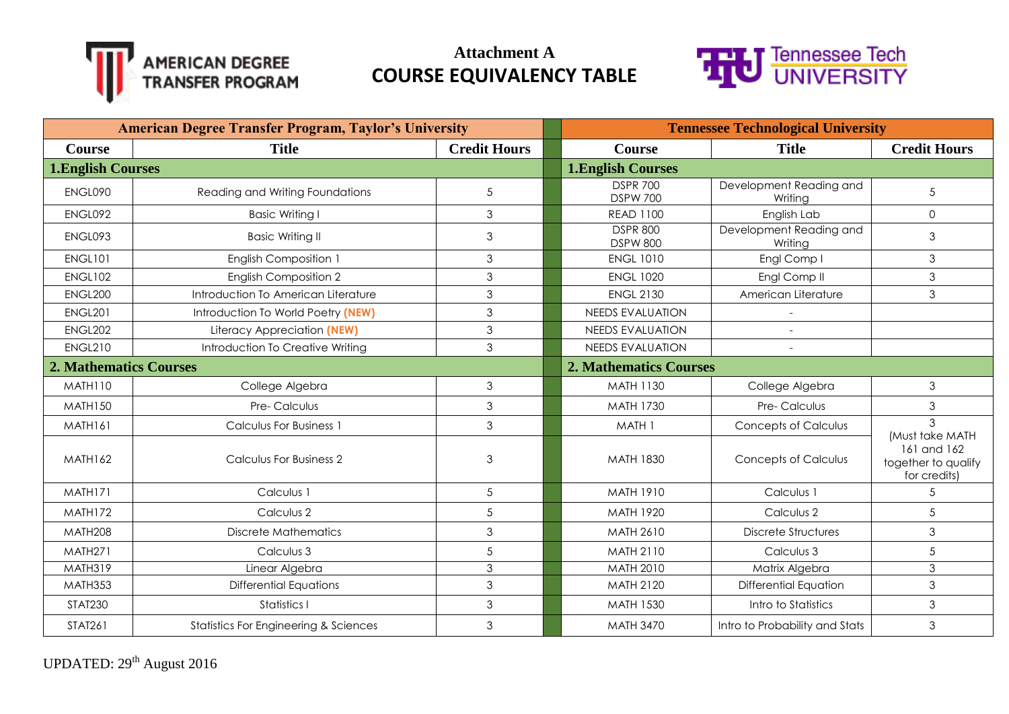



| <b>American Degree Transfer Program, Taylor's University</b> |                                                  |                     | <b>Tennessee Technological University</b> |                                    |                                                                       |
|--------------------------------------------------------------|--------------------------------------------------|---------------------|-------------------------------------------|------------------------------------|-----------------------------------------------------------------------|
| <b>Course</b>                                                | <b>Title</b>                                     | <b>Credit Hours</b> | <b>Course</b>                             | <b>Title</b>                       | <b>Credit Hours</b>                                                   |
| <b>1. English Courses</b>                                    |                                                  |                     | <b>1.English Courses</b>                  |                                    |                                                                       |
| ENGL090                                                      | Reading and Writing Foundations                  | 5                   | <b>DSPR 700</b><br><b>DSPW 700</b>        | Development Reading and<br>Writina | 5                                                                     |
| ENGL092                                                      | <b>Basic Writing I</b>                           | 3                   | <b>READ 1100</b>                          | English Lab                        | $\mathsf{O}$                                                          |
| ENGL093                                                      | <b>Basic Writing II</b>                          | 3                   | <b>DSPR 800</b><br><b>DSPW 800</b>        | Development Reading and<br>Writing | $\mathfrak{Z}$                                                        |
| <b>ENGL101</b>                                               | English Composition 1                            | 3                   | <b>ENGL 1010</b>                          | Engl Comp I                        | $\mathfrak{S}$                                                        |
| <b>ENGL102</b>                                               | <b>English Composition 2</b>                     | 3                   | <b>ENGL 1020</b>                          | Engl Comp II                       | $\mathfrak{S}$                                                        |
| ENGL200                                                      | Introduction To American Literature              | 3                   | <b>ENGL 2130</b>                          | American Literature                | $\mathfrak{S}$                                                        |
| <b>ENGL201</b>                                               | Introduction To World Poetry (NEW)               | 3                   | <b>NEEDS EVALUATION</b>                   | $\overline{\phantom{a}}$           |                                                                       |
| ENGL202                                                      | Literacy Appreciation (NEW)                      | 3                   | <b>NEEDS EVALUATION</b>                   |                                    |                                                                       |
| <b>ENGL210</b>                                               | Introduction To Creative Writing                 | 3                   | <b>NEEDS EVALUATION</b>                   |                                    |                                                                       |
| <b>2. Mathematics Courses</b>                                |                                                  |                     | <b>2. Mathematics Courses</b>             |                                    |                                                                       |
| MATH110                                                      | College Algebra                                  | 3                   | <b>MATH 1130</b>                          | College Algebra                    | 3                                                                     |
| <b>MATH150</b>                                               | Pre-Calculus                                     | 3                   | <b>MATH 1730</b>                          | Pre- Calculus                      | 3                                                                     |
| MATH161                                                      | Calculus For Business 1                          | 3                   | MATH 1                                    | <b>Concepts of Calculus</b>        | 3                                                                     |
| MATH <sub>162</sub>                                          | Calculus For Business 2                          | 3                   | <b>MATH 1830</b>                          | <b>Concepts of Calculus</b>        | (Must take MATH<br>161 and 162<br>together to qualify<br>for credits) |
| MATH171                                                      | Calculus 1                                       | 5                   | <b>MATH 1910</b>                          | Calculus 1                         | 5                                                                     |
| MATH172                                                      | Calculus 2                                       | 5                   | <b>MATH 1920</b>                          | Calculus 2                         | 5                                                                     |
| MATH208                                                      | <b>Discrete Mathematics</b>                      | 3                   | MATH 2610                                 | <b>Discrete Structures</b>         | $\mathfrak{S}$                                                        |
| <b>MATH271</b>                                               | Calculus 3                                       | 5                   | MATH 2110                                 | Calculus 3                         | $\sqrt{5}$                                                            |
| MATH319                                                      | Linear Algebra                                   | 3                   | MATH 2010                                 | Matrix Algebra                     | $\mathfrak{S}$                                                        |
| MATH353                                                      | <b>Differential Equations</b>                    | 3                   | <b>MATH 2120</b>                          | Differential Equation              | $\mathfrak{S}$                                                        |
| <b>STAT230</b>                                               | Statistics I                                     | 3                   | <b>MATH 1530</b>                          | Intro to Statistics                | $\mathfrak{Z}$                                                        |
| <b>STAT261</b>                                               | <b>Statistics For Engineering &amp; Sciences</b> | 3                   | <b>MATH 3470</b>                          | Intro to Probability and Stats     | $\mathfrak{S}$                                                        |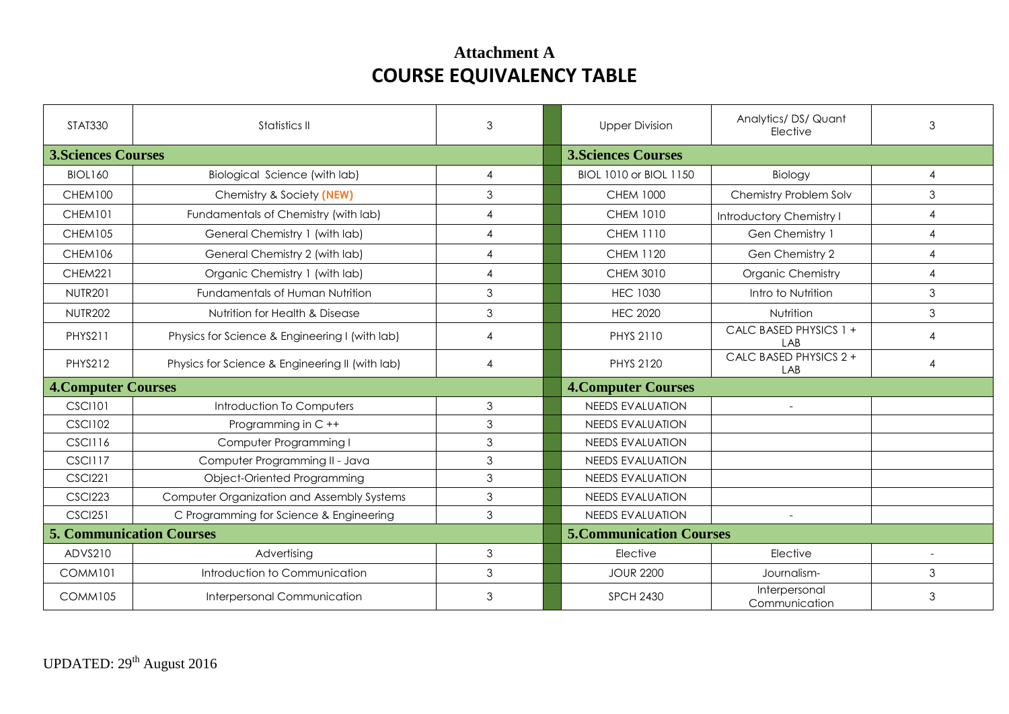| <b>STAT330</b>                  | Statistics II                                   | 3              | <b>Upper Division</b>           | Analytics/DS/Quant<br>Elective | 3                        |
|---------------------------------|-------------------------------------------------|----------------|---------------------------------|--------------------------------|--------------------------|
| <b>3. Sciences Courses</b>      |                                                 |                | <b>3. Sciences Courses</b>      |                                |                          |
| <b>BIOL160</b>                  | Biological Science (with lab)                   | $\overline{4}$ | BIOL 1010 or BIOL 1150          | Biology                        | 4                        |
| CHEM100                         | Chemistry & Society (NEW)                       | $\mathfrak{Z}$ | <b>CHEM 1000</b>                | Chemistry Problem Solv         | $\mathfrak{Z}$           |
| CHEM101                         | Fundamentals of Chemistry (with lab)            | $\overline{4}$ | <b>CHEM 1010</b>                | Introductory Chemistry I       | $\overline{4}$           |
| <b>CHEM105</b>                  | General Chemistry 1 (with lab)                  | $\overline{4}$ | <b>CHEM 1110</b>                | Gen Chemistry 1                | $\overline{4}$           |
| <b>CHEM106</b>                  | General Chemistry 2 (with lab)                  | $\overline{4}$ | <b>CHEM 1120</b>                | Gen Chemistry 2                | $\overline{4}$           |
| CHEM221                         | Organic Chemistry 1 (with lab)                  | $\overline{4}$ | CHEM 3010                       | <b>Organic Chemistry</b>       | $\overline{4}$           |
| <b>NUTR201</b>                  | Fundamentals of Human Nutrition                 | $\mathfrak{Z}$ | <b>HEC 1030</b>                 | Intro to Nutrition             | 3                        |
| <b>NUTR202</b>                  | Nutrition for Health & Disease                  | $\mathfrak{Z}$ | <b>HEC 2020</b>                 | Nutrition                      | 3                        |
| PHYS211                         | Physics for Science & Engineering I (with lab)  | $\overline{4}$ | PHYS 2110                       | CALC BASED PHYSICS 1 +<br>LAB  | 4                        |
| <b>PHYS212</b>                  | Physics for Science & Engineering II (with lab) | $\overline{4}$ | PHYS 2120                       | CALC BASED PHYSICS 2 +<br>LAB  | $\overline{4}$           |
| <b>4. Computer Courses</b>      |                                                 |                | <b>4. Computer Courses</b>      |                                |                          |
| <b>CSCI101</b>                  | Introduction To Computers                       | 3              | <b>NEEDS EVALUATION</b>         | $\sim$                         |                          |
| <b>CSCI102</b>                  | Programming in C++                              | $\mathfrak{Z}$ | <b>NEEDS EVALUATION</b>         |                                |                          |
| <b>CSCI116</b>                  | Computer Programming I                          | $\mathfrak{Z}$ | <b>NEEDS EVALUATION</b>         |                                |                          |
| <b>CSCI117</b>                  | Computer Programming II - Java                  | $\mathfrak{Z}$ | <b>NEEDS EVALUATION</b>         |                                |                          |
| <b>CSCI221</b>                  | Object-Oriented Programming                     | $\mathfrak{Z}$ | <b>NEEDS EVALUATION</b>         |                                |                          |
| <b>CSCI223</b>                  | Computer Organization and Assembly Systems      | $\mathfrak{Z}$ | <b>NEEDS EVALUATION</b>         |                                |                          |
| <b>CSCI251</b>                  | C Programming for Science & Engineering         | $\mathfrak{Z}$ | <b>NEEDS EVALUATION</b>         |                                |                          |
| <b>5. Communication Courses</b> |                                                 |                | <b>5. Communication Courses</b> |                                |                          |
| ADVS210                         | Advertising                                     | $\mathfrak{Z}$ | Elective                        | Elective                       | $\overline{\phantom{a}}$ |
| COMM101                         | Introduction to Communication                   | $\mathfrak{Z}$ | <b>JOUR 2200</b>                | Journalism-                    | 3                        |
| <b>COMM105</b>                  | Interpersonal Communication                     | 3              | <b>SPCH 2430</b>                | Interpersonal<br>Communication | 3                        |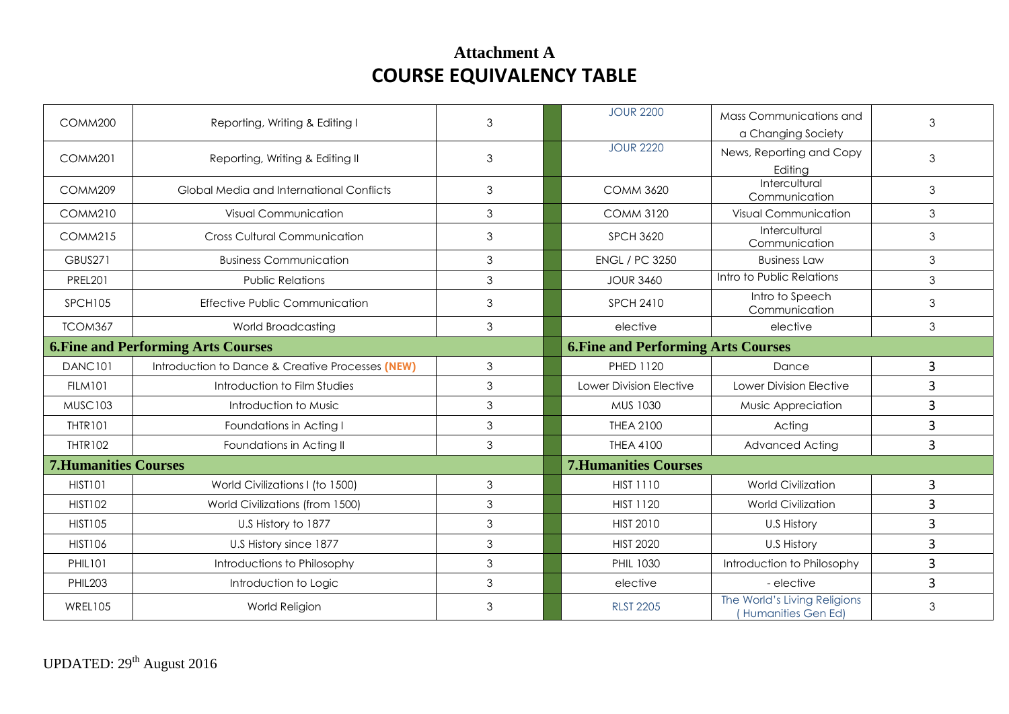| COMM200                                    | Reporting, Writing & Editing I                   | 3 | <b>JOUR 2200</b>                           | Mass Communications and<br>a Changing Society | 3              |
|--------------------------------------------|--------------------------------------------------|---|--------------------------------------------|-----------------------------------------------|----------------|
| COMM201                                    | Reporting, Writing & Editing II                  | 3 | <b>JOUR 2220</b>                           | News, Reporting and Copy<br>Editing           | 3              |
| COMM209                                    | Global Media and International Conflicts         | 3 | <b>COMM 3620</b>                           | Intercultural<br>Communication                | $\mathfrak{S}$ |
| <b>COMM210</b>                             | Visual Communication                             | 3 | <b>COMM 3120</b>                           | <b>Visual Communication</b>                   | 3              |
| <b>COMM215</b>                             | <b>Cross Cultural Communication</b>              | 3 | <b>SPCH 3620</b>                           | Intercultural<br>Communication                | $\mathfrak{Z}$ |
| <b>GBUS271</b>                             | <b>Business Communication</b>                    | 3 | <b>ENGL / PC 3250</b>                      | <b>Business Law</b>                           | 3              |
| <b>PREL201</b>                             | <b>Public Relations</b>                          | 3 | <b>JOUR 3460</b>                           | Intro to Public Relations                     | 3              |
| <b>SPCH105</b>                             | <b>Effective Public Communication</b>            | 3 | <b>SPCH 2410</b>                           | Intro to Speech<br>Communication              | 3              |
| TCOM367                                    | World Broadcasting                               | 3 | elective                                   | elective                                      | $\mathfrak{S}$ |
| <b>6. Fine and Performing Arts Courses</b> |                                                  |   | <b>6. Fine and Performing Arts Courses</b> |                                               |                |
| DANC101                                    | Introduction to Dance & Creative Processes (NEW) | 3 | <b>PHED 1120</b>                           | Dance                                         | $\mathbf{3}$   |
|                                            |                                                  |   |                                            |                                               |                |
| <b>FILM101</b>                             | Introduction to Film Studies                     | 3 | Lower Division Elective                    | Lower Division Elective                       | 3              |
| <b>MUSC103</b>                             | Introduction to Music                            | 3 | MUS 1030                                   | Music Appreciation                            | $\overline{3}$ |
| <b>THTR101</b>                             | Foundations in Acting I                          | 3 | <b>THEA 2100</b>                           | Acting                                        | 3              |
| THTR102                                    | Foundations in Acting II                         | 3 | <b>THEA 4100</b>                           | Advanced Acting                               | 3              |
| <b>7. Humanities Courses</b>               |                                                  |   | <b>7. Humanities Courses</b>               |                                               |                |
| HIST101                                    | World Civilizations I (to 1500)                  | 3 | <b>HIST 1110</b>                           | <b>World Civilization</b>                     | 3              |
| <b>HIST102</b>                             | World Civilizations (from 1500)                  | 3 | <b>HIST 1120</b>                           | <b>World Civilization</b>                     | 3              |
| <b>HIST105</b>                             | U.S History to 1877                              | 3 | <b>HIST 2010</b>                           | U.S History                                   | $\overline{3}$ |
| <b>HIST106</b>                             | U.S History since 1877                           | 3 | <b>HIST 2020</b>                           | U.S History                                   | $\overline{3}$ |
| <b>PHIL101</b>                             | Introductions to Philosophy                      | 3 | PHIL 1030                                  | Introduction to Philosophy                    | 3              |
| <b>PHIL203</b>                             | Introduction to Logic                            | 3 | elective                                   | - elective                                    | $\overline{3}$ |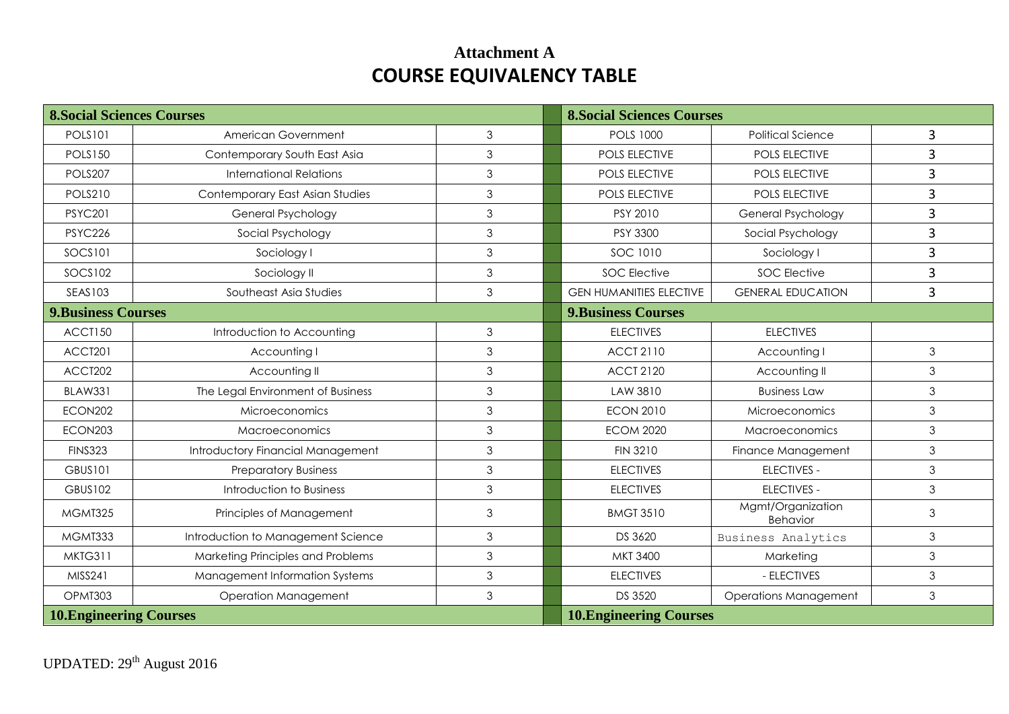| <b>8. Social Sciences Courses</b> |                                    |                | <b>8. Social Sciences Courses</b> |                                      |   |
|-----------------------------------|------------------------------------|----------------|-----------------------------------|--------------------------------------|---|
| <b>POLS101</b>                    | American Government                | 3              | <b>POLS 1000</b>                  | <b>Political Science</b>             | 3 |
| <b>POLS150</b>                    | Contemporary South East Asia       | $\mathfrak{S}$ | <b>POLS ELECTIVE</b>              | POLS ELECTIVE                        | 3 |
| POLS207                           | <b>International Relations</b>     | $\mathfrak{Z}$ | <b>POLS ELECTIVE</b>              | POLS ELECTIVE                        | 3 |
| <b>POLS210</b>                    | Contemporary East Asian Studies    | 3              | POLS ELECTIVE                     | POLS ELECTIVE                        | 3 |
| <b>PSYC201</b>                    | General Psychology                 | $\mathfrak{S}$ | PSY 2010                          | General Psychology                   | 3 |
| <b>PSYC226</b>                    | Social Psychology                  | 3              | PSY 3300                          | Social Psychology                    | 3 |
| <b>SOCS101</b>                    | Sociology I                        | 3              | SOC 1010                          | Sociology I                          | 3 |
| <b>SOCS102</b>                    | Sociology II                       | $\mathfrak{S}$ | <b>SOC Elective</b>               | <b>SOC Elective</b>                  | 3 |
| <b>SEAS103</b>                    | Southeast Asia Studies             | 3              | <b>GEN HUMANITIES ELECTIVE</b>    | <b>GENERAL EDUCATION</b>             | 3 |
| <b>9.Business Courses</b>         |                                    |                | <b>9.Business Courses</b>         |                                      |   |
| ACCT150                           | Introduction to Accounting         | $\mathfrak{Z}$ | <b>ELECTIVES</b>                  | <b>ELECTIVES</b>                     |   |
| ACCT201                           | Accounting I                       | 3              | <b>ACCT 2110</b>                  | Accounting I                         | 3 |
| ACCT202                           | Accounting II                      | 3              | <b>ACCT 2120</b>                  | Accounting II                        | 3 |
| <b>BLAW331</b>                    | The Legal Environment of Business  | 3              | LAW 3810                          | <b>Business Law</b>                  | 3 |
| ECON202                           | Microeconomics                     | 3              | <b>ECON 2010</b>                  | <b>Microeconomics</b>                | 3 |
| ECON203                           | <b>Macroeconomics</b>              | 3              | <b>ECOM 2020</b>                  | <b>Macroeconomics</b>                | 3 |
| <b>FINS323</b>                    | Introductory Financial Management  | 3              | <b>FIN 3210</b>                   | Finance Management                   | 3 |
| <b>GBUS101</b>                    | <b>Preparatory Business</b>        | $\mathfrak{S}$ | <b>ELECTIVES</b>                  | <b>ELECTIVES -</b>                   | 3 |
| <b>GBUS102</b>                    | Introduction to Business           | $\mathfrak{S}$ | <b>ELECTIVES</b>                  | <b>ELECTIVES -</b>                   | 3 |
| MGMT325                           | Principles of Management           | $\mathfrak 3$  | <b>BMGT 3510</b>                  | Mgmt/Organization<br><b>Behavior</b> | 3 |
| MGMT333                           | Introduction to Management Science | 3              | DS 3620                           | Business Analytics                   | 3 |
| MKTG311                           | Marketing Principles and Problems  | 3              | MKT 3400                          | Marketing                            | 3 |
| MISS241                           | Management Information Systems     | $\mathfrak{Z}$ | <b>ELECTIVES</b>                  | - ELECTIVES                          | 3 |
| OPMT303                           | <b>Operation Management</b>        | 3              | <b>DS 3520</b>                    | <b>Operations Management</b>         | 3 |
| <b>10. Engineering Courses</b>    |                                    |                | <b>10. Engineering Courses</b>    |                                      |   |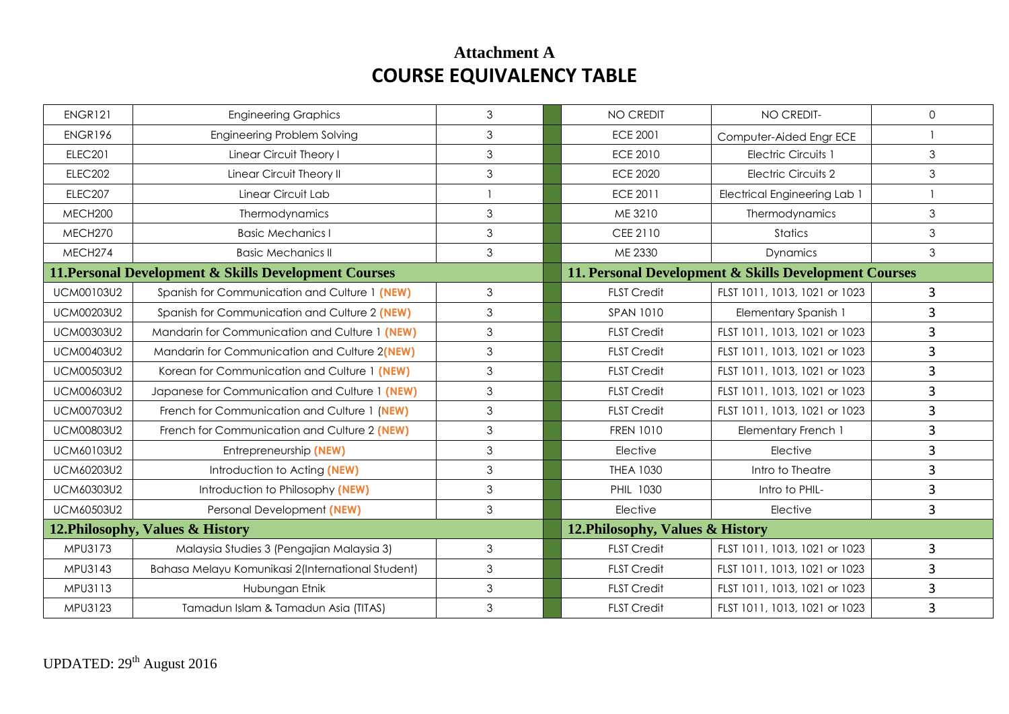| ENGR121                          | <b>Engineering Graphics</b>                           | 3 | <b>NO CREDIT</b>                 | NO CREDIT-                                            | $\Omega$       |
|----------------------------------|-------------------------------------------------------|---|----------------------------------|-------------------------------------------------------|----------------|
| ENGR196                          | Engineering Problem Solving                           | 3 | <b>ECE 2001</b>                  | Computer-Aided Engr ECE                               | $\mathbf{1}$   |
| <b>ELEC201</b>                   | Linear Circuit Theory I                               | 3 | <b>ECE 2010</b>                  | <b>Electric Circuits 1</b>                            | $\mathfrak{S}$ |
| <b>ELEC202</b>                   | Linear Circuit Theory II                              | 3 | <b>ECE 2020</b>                  | Electric Circuits 2                                   | $\mathfrak{S}$ |
| ELEC207                          | Linear Circuit Lab                                    |   | <b>ECE 2011</b>                  | <b>Electrical Engineering Lab 1</b>                   |                |
| MECH200                          | Thermodynamics                                        | 3 | ME 3210                          | Thermodynamics                                        | $\mathfrak{S}$ |
| MECH270                          | <b>Basic Mechanics I</b>                              | 3 | CEE 2110                         | Statics                                               | 3              |
| MECH274                          | <b>Basic Mechanics II</b>                             | 3 | ME 2330                          | Dynamics                                              | 3              |
|                                  | 11. Personal Development & Skills Development Courses |   |                                  | 11. Personal Development & Skills Development Courses |                |
| <b>UCM00103U2</b>                | Spanish for Communication and Culture 1 (NEW)         | 3 | <b>FLST Credit</b>               | FLST 1011, 1013, 1021 or 1023                         | $\mathbf{3}$   |
| <b>UCM00203U2</b>                | Spanish for Communication and Culture 2 (NEW)         | 3 | <b>SPAN 1010</b>                 | <b>Elementary Spanish 1</b>                           | 3              |
| <b>UCM00303U2</b>                | Mandarin for Communication and Culture 1 (NEW)        | 3 | <b>FLST Credit</b>               | FLST 1011, 1013, 1021 or 1023                         | 3              |
| <b>UCM00403U2</b>                | Mandarin for Communication and Culture 2(NEW)         | 3 | <b>FLST Credit</b>               | FLST 1011, 1013, 1021 or 1023                         | 3              |
| <b>UCM00503U2</b>                | Korean for Communication and Culture 1 (NEW)          | 3 | <b>FLST Credit</b>               | FLST 1011, 1013, 1021 or 1023                         | 3              |
| <b>UCM00603U2</b>                | Japanese for Communication and Culture 1 (NEW)        | 3 | <b>FLST Credit</b>               | FLST 1011, 1013, 1021 or 1023                         | $\overline{3}$ |
| <b>UCM00703U2</b>                | French for Communication and Culture 1 (NEW)          | 3 | <b>FLST Credit</b>               | FLST 1011, 1013, 1021 or 1023                         | 3              |
| <b>UCM00803U2</b>                | French for Communication and Culture 2 (NEW)          | 3 | <b>FREN 1010</b>                 | Elementary French 1                                   | 3              |
| UCM60103U2                       | Entrepreneurship (NEW)                                | 3 | Elective                         | Elective                                              | 3              |
| <b>UCM60203U2</b>                | Introduction to Acting (NEW)                          | 3 | <b>THEA 1030</b>                 | Intro to Theatre                                      | 3              |
| <b>UCM60303U2</b>                | Introduction to Philosophy (NEW)                      | 3 | PHIL 1030                        | Intro to PHIL-                                        | 3              |
| <b>UCM60503U2</b>                | Personal Development (NEW)                            | 3 | Elective                         | Elective                                              | $\overline{3}$ |
| 12. Philosophy, Values & History |                                                       |   | 12. Philosophy, Values & History |                                                       |                |
| MPU3173                          | Malaysia Studies 3 (Pengajian Malaysia 3)             | 3 | <b>FLST Credit</b>               | FLST 1011, 1013, 1021 or 1023                         | 3              |
| MPU3143                          | Bahasa Melayu Komunikasi 2(International Student)     | 3 | <b>FLST Credit</b>               | FLST 1011, 1013, 1021 or 1023                         | 3              |
| MPU3113                          | Hubungan Etnik                                        | 3 | <b>FLST Credit</b>               | FLST 1011, 1013, 1021 or 1023                         | 3              |
| MPU3123                          | Tamadun Islam & Tamadun Asia (TITAS)                  | 3 | <b>FLST Credit</b>               | FLST 1011, 1013, 1021 or 1023                         | 3              |